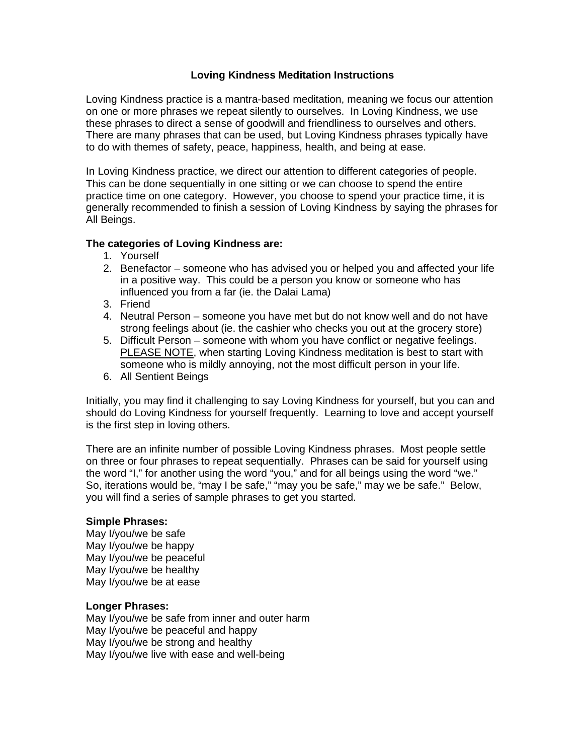### **Loving Kindness Meditation Instructions**

Loving Kindness practice is a mantra-based meditation, meaning we focus our attention on one or more phrases we repeat silently to ourselves. In Loving Kindness, we use these phrases to direct a sense of goodwill and friendliness to ourselves and others. There are many phrases that can be used, but Loving Kindness phrases typically have to do with themes of safety, peace, happiness, health, and being at ease.

In Loving Kindness practice, we direct our attention to different categories of people. This can be done sequentially in one sitting or we can choose to spend the entire practice time on one category. However, you choose to spend your practice time, it is generally recommended to finish a session of Loving Kindness by saying the phrases for All Beings.

### **The categories of Loving Kindness are:**

- 1. Yourself
- 2. Benefactor someone who has advised you or helped you and affected your life in a positive way. This could be a person you know or someone who has influenced you from a far (ie. the Dalai Lama)
- 3. Friend
- 4. Neutral Person someone you have met but do not know well and do not have strong feelings about (ie. the cashier who checks you out at the grocery store)
- 5. Difficult Person someone with whom you have conflict or negative feelings. PLEASE NOTE, when starting Loving Kindness meditation is best to start with someone who is mildly annoying, not the most difficult person in your life.
- 6. All Sentient Beings

Initially, you may find it challenging to say Loving Kindness for yourself, but you can and should do Loving Kindness for yourself frequently. Learning to love and accept yourself is the first step in loving others.

There are an infinite number of possible Loving Kindness phrases. Most people settle on three or four phrases to repeat sequentially. Phrases can be said for yourself using the word "I," for another using the word "you," and for all beings using the word "we." So, iterations would be, "may I be safe," "may you be safe," may we be safe." Below, you will find a series of sample phrases to get you started.

### **Simple Phrases:**

May I/you/we be safe May I/you/we be happy May I/you/we be peaceful May I/you/we be healthy May I/you/we be at ease

# **Longer Phrases:**

May I/you/we be safe from inner and outer harm May I/you/we be peaceful and happy May I/you/we be strong and healthy May I/you/we live with ease and well-being